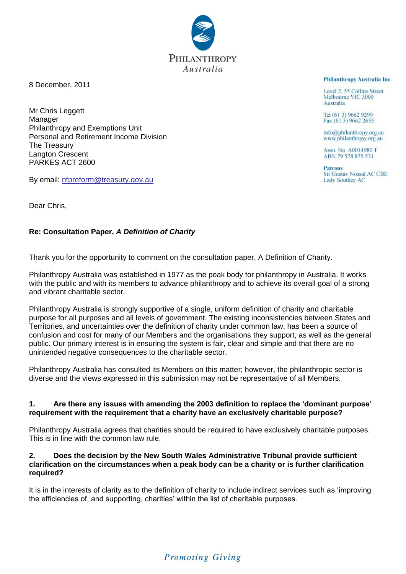8 December, 2011

Mr Chris Leggett Manager Philanthropy and Exemptions Unit Personal and Retirement Income Division The Treasury Langton Crescent PARKES ACT 2600

By email: [nfpreform@treasury.gov.au](mailto:nfpreform@treasury.gov.au)

Dear Chris,

### **Re: Consultation Paper,** *A Definition of Charity*

Thank you for the opportunity to comment on the consultation paper, A Definition of Charity.

Philanthropy Australia was established in 1977 as the peak body for philanthropy in Australia. It works with the public and with its members to advance philanthropy and to achieve its overall goal of a strong and vibrant charitable sector.

Philanthropy Australia is strongly supportive of a single, uniform definition of charity and charitable purpose for all purposes and all levels of government. The existing inconsistencies between States and Territories, and uncertainties over the definition of charity under common law, has been a source of confusion and cost for many of our Members and the organisations they support, as well as the general public. Our primary interest is in ensuring the system is fair, clear and simple and that there are no unintended negative consequences to the charitable sector.

Philanthropy Australia has consulted its Members on this matter; however, the philanthropic sector is diverse and the views expressed in this submission may not be representative of all Members.

#### **1. Are there any issues with amending the 2003 definition to replace the 'dominant purpose' requirement with the requirement that a charity have an exclusively charitable purpose?**

Philanthropy Australia agrees that charities should be required to have exclusively charitable purposes. This is in line with the common law rule.

#### **2. Does the decision by the New South Wales Administrative Tribunal provide sufficient clarification on the circumstances when a peak body can be a charity or is further clarification required?**

It is in the interests of clarity as to the definition of charity to include indirect services such as 'improving the efficiencies of, and supporting, charities' within the list of charitable purposes.

#### **Philanthropy Australia Inc.**

Level 2, 55 Collins Street Melbourne VIC 3000 Australia

Tel (61 3) 9662 9299 Fax (61 3) 9662 2655

info@philanthropy.org.au www.philanthropy.org.au

Assn. No. A0014980 T<br>ABN 79 578 875 531

**Patrons Sir Gustav Nossal AC CBE Lady Southey AC** 

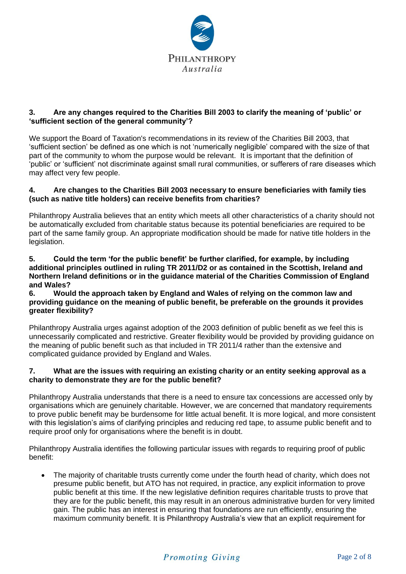

## **3. Are any changes required to the Charities Bill 2003 to clarify the meaning of 'public' or 'sufficient section of the general community'?**

We support the Board of Taxation's recommendations in its review of the Charities Bill 2003, that 'sufficient section' be defined as one which is not 'numerically negligible' compared with the size of that part of the community to whom the purpose would be relevant. It is important that the definition of 'public' or 'sufficient' not discriminate against small rural communities, or sufferers of rare diseases which may affect very few people.

### **4. Are changes to the Charities Bill 2003 necessary to ensure beneficiaries with family ties (such as native title holders) can receive benefits from charities?**

Philanthropy Australia believes that an entity which meets all other characteristics of a charity should not be automatically excluded from charitable status because its potential beneficiaries are required to be part of the same family group. An appropriate modification should be made for native title holders in the legislation.

#### **5. Could the term 'for the public benefit' be further clarified, for example, by including additional principles outlined in ruling TR 2011/D2 or as contained in the Scottish, Ireland and Northern Ireland definitions or in the guidance material of the Charities Commission of England and Wales?**

#### **6. Would the approach taken by England and Wales of relying on the common law and providing guidance on the meaning of public benefit, be preferable on the grounds it provides greater flexibility?**

Philanthropy Australia urges against adoption of the 2003 definition of public benefit as we feel this is unnecessarily complicated and restrictive. Greater flexibility would be provided by providing guidance on the meaning of public benefit such as that included in TR 2011/4 rather than the extensive and complicated guidance provided by England and Wales.

### **7. What are the issues with requiring an existing charity or an entity seeking approval as a charity to demonstrate they are for the public benefit?**

Philanthropy Australia understands that there is a need to ensure tax concessions are accessed only by organisations which are genuinely charitable. However, we are concerned that mandatory requirements to prove public benefit may be burdensome for little actual benefit. It is more logical, and more consistent with this legislation's aims of clarifying principles and reducing red tape, to assume public benefit and to require proof only for organisations where the benefit is in doubt.

Philanthropy Australia identifies the following particular issues with regards to requiring proof of public benefit:

 The majority of charitable trusts currently come under the fourth head of charity, which does not presume public benefit, but ATO has not required, in practice, any explicit information to prove public benefit at this time. If the new legislative definition requires charitable trusts to prove that they are for the public benefit, this may result in an onerous administrative burden for very limited gain. The public has an interest in ensuring that foundations are run efficiently, ensuring the maximum community benefit. It is Philanthropy Australia's view that an explicit requirement for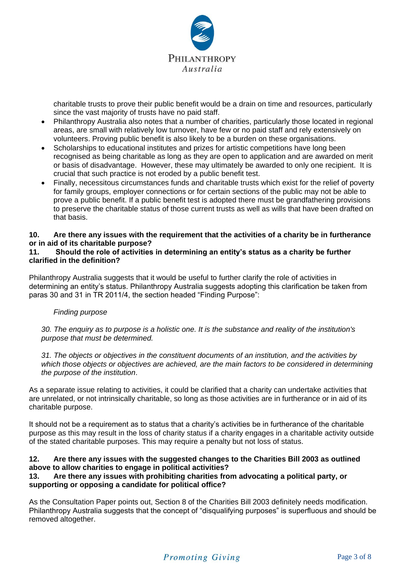

charitable trusts to prove their public benefit would be a drain on time and resources, particularly since the vast majority of trusts have no paid staff.

- Philanthropy Australia also notes that a number of charities, particularly those located in regional areas, are small with relatively low turnover, have few or no paid staff and rely extensively on volunteers. Proving public benefit is also likely to be a burden on these organisations.
- Scholarships to educational institutes and prizes for artistic competitions have long been recognised as being charitable as long as they are open to application and are awarded on merit or basis of disadvantage. However, these may ultimately be awarded to only one recipient. It is crucial that such practice is not eroded by a public benefit test.
- Finally, necessitous circumstances funds and charitable trusts which exist for the relief of poverty for family groups, employer connections or for certain sections of the public may not be able to prove a public benefit. If a public benefit test is adopted there must be grandfathering provisions to preserve the charitable status of those current trusts as well as wills that have been drafted on that basis.

## **10. Are there any issues with the requirement that the activities of a charity be in furtherance or in aid of its charitable purpose?**

### **11. Should the role of activities in determining an entity's status as a charity be further clarified in the definition?**

Philanthropy Australia suggests that it would be useful to further clarify the role of activities in determining an entity's status. Philanthropy Australia suggests adopting this clarification be taken from paras 30 and 31 in TR 2011/4, the section headed "Finding Purpose":

### *Finding purpose*

*30. The enquiry as to purpose is a holistic one. It is the substance and reality of the institution's purpose that must be determined.*

*31. The objects or objectives in the constituent documents of an institution, and the activities by which those objects or objectives are achieved, are the main factors to be considered in determining the purpose of the institution*.

As a separate issue relating to activities, it could be clarified that a charity can undertake activities that are unrelated, or not intrinsically charitable, so long as those activities are in furtherance or in aid of its charitable purpose.

It should not be a requirement as to status that a charity's activities be in furtherance of the charitable purpose as this may result in the loss of charity status if a charity engages in a charitable activity outside of the stated charitable purposes. This may require a penalty but not loss of status.

## **12. Are there any issues with the suggested changes to the Charities Bill 2003 as outlined above to allow charities to engage in political activities?**

## **13. Are there any issues with prohibiting charities from advocating a political party, or supporting or opposing a candidate for political office?**

As the Consultation Paper points out, Section 8 of the Charities Bill 2003 definitely needs modification. Philanthropy Australia suggests that the concept of "disqualifying purposes" is superfluous and should be removed altogether.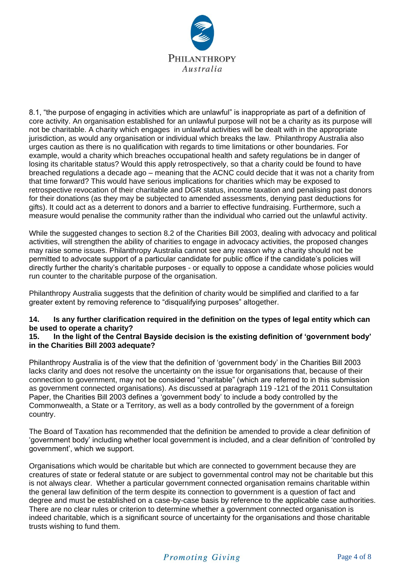

8.1, "the purpose of engaging in activities which are unlawful" is inappropriate as part of a definition of core activity. An organisation established for an unlawful purpose will not be a charity as its purpose will not be charitable. A charity which engages in unlawful activities will be dealt with in the appropriate jurisdiction, as would any organisation or individual which breaks the law. Philanthropy Australia also urges caution as there is no qualification with regards to time limitations or other boundaries. For example, would a charity which breaches occupational health and safety regulations be in danger of losing its charitable status? Would this apply retrospectively, so that a charity could be found to have breached regulations a decade ago – meaning that the ACNC could decide that it was not a charity from that time forward? This would have serious implications for charities which may be exposed to retrospective revocation of their charitable and DGR status, income taxation and penalising past donors for their donations (as they may be subjected to amended assessments, denying past deductions for gifts). It could act as a deterrent to donors and a barrier to effective fundraising. Furthermore, such a measure would penalise the community rather than the individual who carried out the unlawful activity.

While the suggested changes to section 8.2 of the Charities Bill 2003, dealing with advocacy and political activities, will strengthen the ability of charities to engage in advocacy activities, the proposed changes may raise some issues. Philanthropy Australia cannot see any reason why a charity should not be permitted to advocate support of a particular candidate for public office if the candidate's policies will directly further the charity's charitable purposes - or equally to oppose a candidate whose policies would run counter to the charitable purpose of the organisation.

Philanthropy Australia suggests that the definition of charity would be simplified and clarified to a far greater extent by removing reference to "disqualifying purposes" altogether.

### **14. Is any further clarification required in the definition on the types of legal entity which can be used to operate a charity?**

#### **15. In the light of the Central Bayside decision is the existing definition of 'government body' in the Charities Bill 2003 adequate?**

Philanthropy Australia is of the view that the definition of 'government body' in the Charities Bill 2003 lacks clarity and does not resolve the uncertainty on the issue for organisations that, because of their connection to government, may not be considered "charitable" (which are referred to in this submission as government connected organisations). As discussed at paragraph 119 -121 of the 2011 Consultation Paper, the Charities Bill 2003 defines a 'government body' to include a body controlled by the Commonwealth, a State or a Territory, as well as a body controlled by the government of a foreign country.

The Board of Taxation has recommended that the definition be amended to provide a clear definition of 'government body' including whether local government is included, and a clear definition of 'controlled by government', which we support.

Organisations which would be charitable but which are connected to government because they are creatures of state or federal statute or are subject to governmental control may not be charitable but this is not always clear. Whether a particular government connected organisation remains charitable within the general law definition of the term despite its connection to government is a question of fact and degree and must be established on a case-by-case basis by reference to the applicable case authorities. There are no clear rules or criterion to determine whether a government connected organisation is indeed charitable, which is a significant source of uncertainty for the organisations and those charitable trusts wishing to fund them.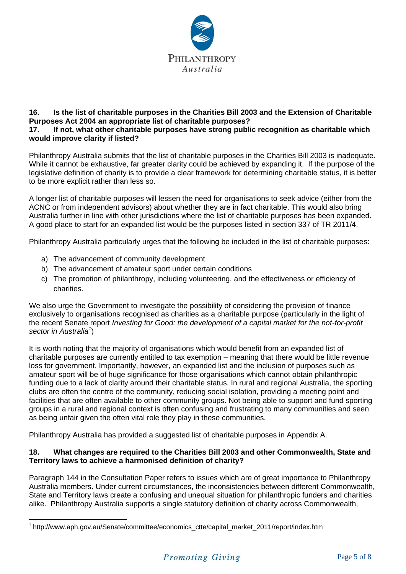

## **16. Is the list of charitable purposes in the Charities Bill 2003 and the Extension of Charitable Purposes Act 2004 an appropriate list of charitable purposes?**

### **17. If not, what other charitable purposes have strong public recognition as charitable which would improve clarity if listed?**

Philanthropy Australia submits that the list of charitable purposes in the Charities Bill 2003 is inadequate. While it cannot be exhaustive, far greater clarity could be achieved by expanding it. If the purpose of the legislative definition of charity is to provide a clear framework for determining charitable status, it is better to be more explicit rather than less so.

A longer list of charitable purposes will lessen the need for organisations to seek advice (either from the ACNC or from independent advisors) about whether they are in fact charitable. This would also bring Australia further in line with other jurisdictions where the list of charitable purposes has been expanded. A good place to start for an expanded list would be the purposes listed in section 337 of TR 2011/4.

Philanthropy Australia particularly urges that the following be included in the list of charitable purposes:

a) The advancement of community development

 $\overline{a}$ 

- b) The advancement of amateur sport under certain conditions
- c) The promotion of philanthropy, including volunteering, and the effectiveness or efficiency of charities.

We also urge the Government to investigate the possibility of considering the provision of finance exclusively to organisations recognised as charities as a charitable purpose (particularly in the light of the recent Senate report *Investing for Good: the development of a capital market for the not-for-profit*  sector in Australia<sup>1</sup>)

It is worth noting that the majority of organisations which would benefit from an expanded list of charitable purposes are currently entitled to tax exemption – meaning that there would be little revenue loss for government. Importantly, however, an expanded list and the inclusion of purposes such as amateur sport will be of huge significance for those organisations which cannot obtain philanthropic funding due to a lack of clarity around their charitable status. In rural and regional Australia, the sporting clubs are often the centre of the community, reducing social isolation, providing a meeting point and facilities that are often available to other community groups. Not being able to support and fund sporting groups in a rural and regional context is often confusing and frustrating to many communities and seen as being unfair given the often vital role they play in these communities.

Philanthropy Australia has provided a suggested list of charitable purposes in Appendix A.

#### **18. What changes are required to the Charities Bill 2003 and other Commonwealth, State and Territory laws to achieve a harmonised definition of charity?**

Paragraph 144 in the Consultation Paper refers to issues which are of great importance to Philanthropy Australia members. Under current circumstances, the inconsistencies between different Commonwealth, State and Territory laws create a confusing and unequal situation for philanthropic funders and charities alike. Philanthropy Australia supports a single statutory definition of charity across Commonwealth,

<sup>&</sup>lt;sup>1</sup> http://www.aph.gov.au/Senate/committee/economics\_ctte/capital\_market\_2011/report/index.htm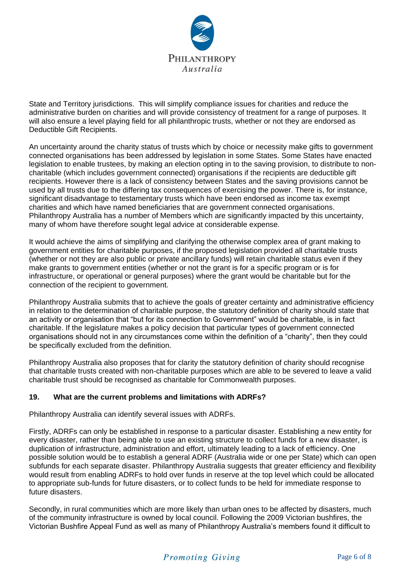

State and Territory jurisdictions. This will simplify compliance issues for charities and reduce the administrative burden on charities and will provide consistency of treatment for a range of purposes. It will also ensure a level playing field for all philanthropic trusts, whether or not they are endorsed as Deductible Gift Recipients.

An uncertainty around the charity status of trusts which by choice or necessity make gifts to government connected organisations has been addressed by legislation in some States. Some States have enacted legislation to enable trustees, by making an election opting in to the saving provision, to distribute to noncharitable (which includes government connected) organisations if the recipients are deductible gift recipients. However there is a lack of consistency between States and the saving provisions cannot be used by all trusts due to the differing tax consequences of exercising the power. There is, for instance, significant disadvantage to testamentary trusts which have been endorsed as income tax exempt charities and which have named beneficiaries that are government connected organisations. Philanthropy Australia has a number of Members which are significantly impacted by this uncertainty, many of whom have therefore sought legal advice at considerable expense.

It would achieve the aims of simplifying and clarifying the otherwise complex area of grant making to government entities for charitable purposes, if the proposed legislation provided all charitable trusts (whether or not they are also public or private ancillary funds) will retain charitable status even if they make grants to government entities (whether or not the grant is for a specific program or is for infrastructure, or operational or general purposes) where the grant would be charitable but for the connection of the recipient to government.

Philanthropy Australia submits that to achieve the goals of greater certainty and administrative efficiency in relation to the determination of charitable purpose, the statutory definition of charity should state that an activity or organisation that "but for its connection to Government" would be charitable, is in fact charitable. If the legislature makes a policy decision that particular types of government connected organisations should not in any circumstances come within the definition of a "charity", then they could be specifically excluded from the definition.

Philanthropy Australia also proposes that for clarity the statutory definition of charity should recognise that charitable trusts created with non-charitable purposes which are able to be severed to leave a valid charitable trust should be recognised as charitable for Commonwealth purposes.

## **19. What are the current problems and limitations with ADRFs?**

Philanthropy Australia can identify several issues with ADRFs.

Firstly, ADRFs can only be established in response to a particular disaster. Establishing a new entity for every disaster, rather than being able to use an existing structure to collect funds for a new disaster, is duplication of infrastructure, administration and effort, ultimately leading to a lack of efficiency. One possible solution would be to establish a general ADRF (Australia wide or one per State) which can open subfunds for each separate disaster. Philanthropy Australia suggests that greater efficiency and flexibility would result from enabling ADRFs to hold over funds in reserve at the top level which could be allocated to appropriate sub-funds for future disasters, or to collect funds to be held for immediate response to future disasters.

Secondly, in rural communities which are more likely than urban ones to be affected by disasters, much of the community infrastructure is owned by local council. Following the 2009 Victorian bushfires, the Victorian Bushfire Appeal Fund as well as many of Philanthropy Australia's members found it difficult to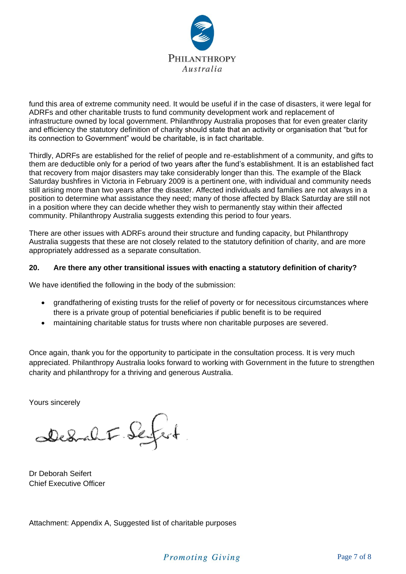

fund this area of extreme community need. It would be useful if in the case of disasters, it were legal for ADRFs and other charitable trusts to fund community development work and replacement of infrastructure owned by local government. Philanthropy Australia proposes that for even greater clarity and efficiency the statutory definition of charity should state that an activity or organisation that "but for its connection to Government" would be charitable, is in fact charitable.

Thirdly, ADRFs are established for the relief of people and re-establishment of a community, and gifts to them are deductible only for a period of two years after the fund's establishment. It is an established fact that recovery from major disasters may take considerably longer than this. The example of the Black Saturday bushfires in Victoria in February 2009 is a pertinent one, with individual and community needs still arising more than two years after the disaster. Affected individuals and families are not always in a position to determine what assistance they need; many of those affected by Black Saturday are still not in a position where they can decide whether they wish to permanently stay within their affected community. Philanthropy Australia suggests extending this period to four years.

There are other issues with ADRFs around their structure and funding capacity, but Philanthropy Australia suggests that these are not closely related to the statutory definition of charity, and are more appropriately addressed as a separate consultation.

## **20. Are there any other transitional issues with enacting a statutory definition of charity?**

We have identified the following in the body of the submission:

- grandfathering of existing trusts for the relief of poverty or for necessitous circumstances where there is a private group of potential beneficiaries if public benefit is to be required
- maintaining charitable status for trusts where non charitable purposes are severed.

Once again, thank you for the opportunity to participate in the consultation process. It is very much appreciated. Philanthropy Australia looks forward to working with Government in the future to strengthen charity and philanthropy for a thriving and generous Australia.

Yours sincerely

Dedral F. Sefert

Dr Deborah Seifert Chief Executive Officer

Attachment: Appendix A, Suggested list of charitable purposes